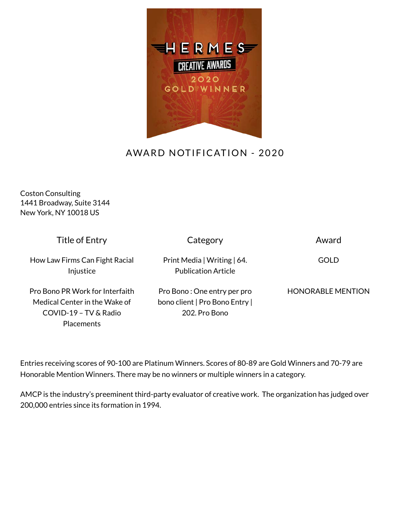

## AWARD NOTIFICATION - 2020

Coston Consulting 1441 Broadway, Suite 3144 New York, NY 10018 US

| Title of Entry                              | Category                                                  | Award                    |
|---------------------------------------------|-----------------------------------------------------------|--------------------------|
| How Law Firms Can Fight Racial<br>Injustice | Print Media   Writing   64.<br><b>Publication Article</b> | GOLD                     |
| Pro Bono PR Work for Interfaith             | Pro Bono: One entry per pro                               | <b>HONORABLE MENTION</b> |
| Medical Center in the Wake of               | bono client   Pro Bono Entry                              |                          |
| COVID-19 - TV & Radio                       | 202. Pro Bono                                             |                          |
| <b>Placements</b>                           |                                                           |                          |

Entries receiving scores of 90-100 are Platinum Winners. Scores of 80-89 are Gold Winners and 70-79 are Honorable Mention Winners. There may be no winners or multiple winners in a category.

AMCP is the industry's preeminent third-party evaluator of creative work. The organization has judged over 200,000 entries since its formation in 1994.